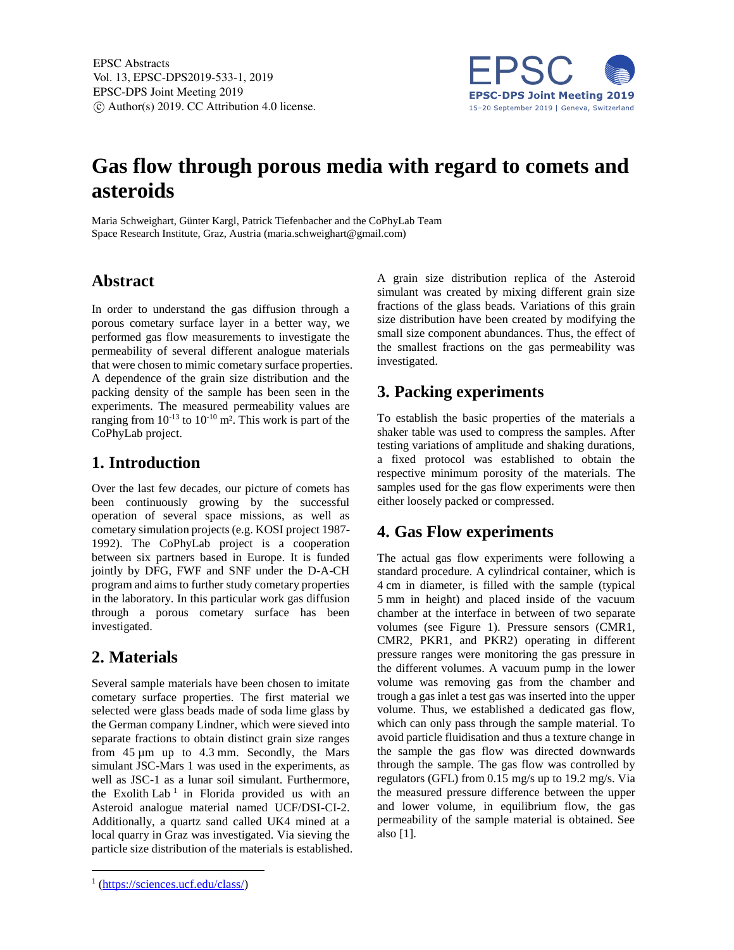

# **Gas flow through porous media with regard to comets and asteroids**

Maria Schweighart, Günter Kargl, Patrick Tiefenbacher and the CoPhyLab Team Space Research Institute, Graz, Austria (maria.schweighart@gmail.com)

#### **Abstract**

In order to understand the gas diffusion through a porous cometary surface layer in a better way, we performed gas flow measurements to investigate the permeability of several different analogue materials that were chosen to mimic cometary surface properties. A dependence of the grain size distribution and the packing density of the sample has been seen in the experiments. The measured permeability values are ranging from  $10^{-13}$  to  $10^{-10}$  m<sup>2</sup>. This work is part of the CoPhyLab project.

### **1. Introduction**

Over the last few decades, our picture of comets has been continuously growing by the successful operation of several space missions, as well as cometary simulation projects (e.g. KOSI project 1987- 1992). The CoPhyLab project is a cooperation between six partners based in Europe. It is funded jointly by DFG, FWF and SNF under the D-A-CH program and aims to further study cometary properties in the laboratory. In this particular work gas diffusion through a porous cometary surface has been investigated.

### **2. Materials**

Several sample materials have been chosen to imitate cometary surface properties. The first material we selected were glass beads made of soda lime glass by the German company Lindner, which were sieved into separate fractions to obtain distinct grain size ranges from 45 µm up to 4.3 mm. Secondly, the Mars simulant JSC-Mars 1 was used in the experiments, as well as JSC-1 as a lunar soil simulant. Furthermore, the Exolith Lab<sup>1</sup> in Florida provided us with an Asteroid analogue material named UCF/DSI-CI-2. Additionally, a quartz sand called UK4 mined at a local quarry in Graz was investigated. Via sieving the particle size distribution of the materials is established.

1

A grain size distribution replica of the Asteroid simulant was created by mixing different grain size fractions of the glass beads. Variations of this grain size distribution have been created by modifying the small size component abundances. Thus, the effect of the smallest fractions on the gas permeability was investigated.

#### **3. Packing experiments**

To establish the basic properties of the materials a shaker table was used to compress the samples. After testing variations of amplitude and shaking durations, a fixed protocol was established to obtain the respective minimum porosity of the materials. The samples used for the gas flow experiments were then either loosely packed or compressed.

### **4. Gas Flow experiments**

The actual gas flow experiments were following a standard procedure. A cylindrical container, which is 4 cm in diameter, is filled with the sample (typical 5 mm in height) and placed inside of the vacuum chamber at the interface in between of two separate volumes (see Figure 1). Pressure sensors (CMR1, CMR2, PKR1, and PKR2) operating in different pressure ranges were monitoring the gas pressure in the different volumes. A vacuum pump in the lower volume was removing gas from the chamber and trough a gas inlet a test gas was inserted into the upper volume. Thus, we established a dedicated gas flow, which can only pass through the sample material. To avoid particle fluidisation and thus a texture change in the sample the gas flow was directed downwards through the sample. The gas flow was controlled by regulators (GFL) from 0.15 mg/s up to 19.2 mg/s. Via the measured pressure difference between the upper and lower volume, in equilibrium flow, the gas permeability of the sample material is obtained. See also [1].

<sup>&</sup>lt;sup>1</sup> (https://sciences.ucf.edu/class/)